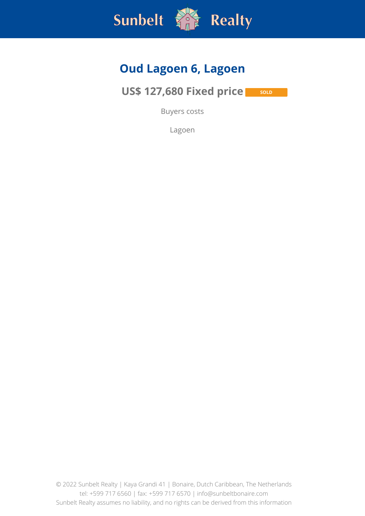

### **Oud Lagoen 6, Lagoen**

**US\$ 127,680 Fixed price SOLD** 

Buyers costs

Lagoen

© 2022 Sunbelt Realty | Kaya Grandi 41 | Bonaire, Dutch Caribbean, The Netherlands tel: +599 717 6560 | fax: +599 717 6570 | info@sunbeltbonaire.com Sunbelt Realty assumes no liability, and no rights can be derived from this information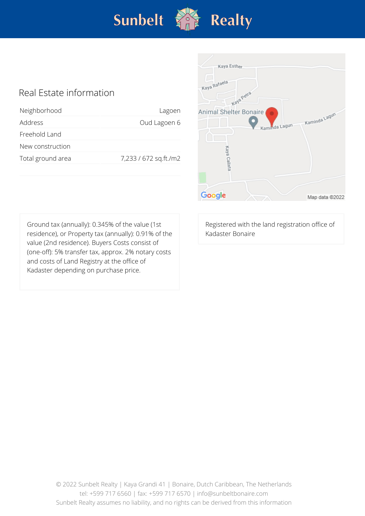

#### Real Estate information

| Neighborhood      | Lagoen                |
|-------------------|-----------------------|
| Address           | Oud Lagoen 6          |
| Freehold Land     |                       |
| New construction  |                       |
| Total ground area | 7,233 / 672 sq.ft./m2 |
|                   |                       |



Ground tax (annually): 0.345% of the value (1st residence), or Property tax (annually): 0.91% of the value (2nd residence). Buyers Costs consist of (one-off): 5% transfer tax, approx. 2% notary costs and costs of Land Registry at the office of Kadaster depending on purchase price.

Registered with the land registration office of Kadaster Bonaire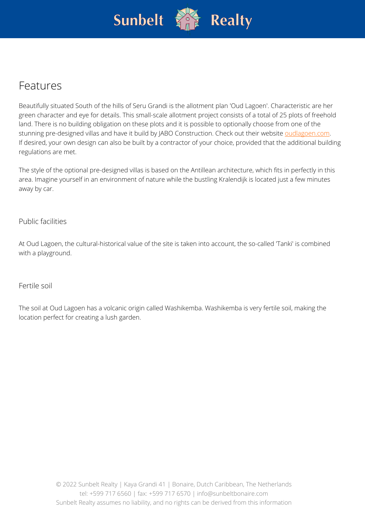

### Features

Beautifully situated South of the hills of Seru Grandi is the allotment plan 'Oud Lagoen'. Characteristic are her green character and eye for details. This small-scale allotment project consists of a total of 25 plots of freehold land. There is no building obligation on these plots and it is possible to optionally choose from one of the stunning pre-designed villas and have it build by JABO Construction. Check out their website [oudlagoen.com.](https://www.oudlagoen.com/) If desired, your own design can also be built by a contractor of your choice, provided that the additional building regulations are met.

The style of the optional pre-designed villas is based on the Antillean architecture, which fits in perfectly in this area. Imagine yourself in an environment of nature while the bustling Kralendijk is located just a few minutes away by car.

Public facilities

At Oud Lagoen, the cultural-historical value of the site is taken into account, the so-called 'Tanki' is combined with a playground.

Fertile soil

The soil at Oud Lagoen has a volcanic origin called Washikemba. Washikemba is very fertile soil, making the location perfect for creating a lush garden.